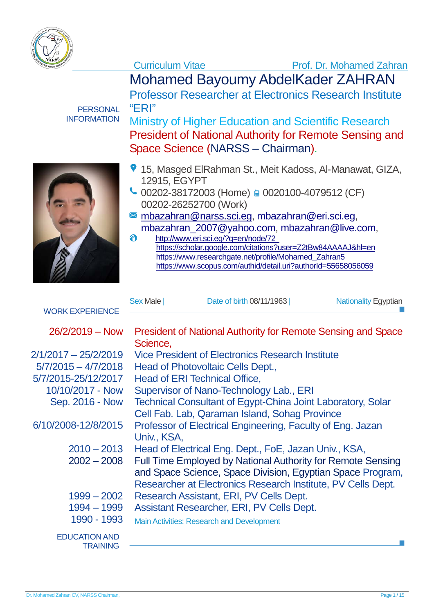

Mohamed Bayoumy AbdelKader ZAHRAN

Professor Researcher at Electronics Research Institute "ERI"

Ministry of Higher Education and Scientific Research President of National Authority for Remote Sensing and Space Science (NARSS – Chairman).



**PERSONAL** INFORMATION

- 15, Masged ElRahman St., Meit Kadoss, Al-Manawat, GIZA, 12915, EGYPT
- $\bigcup$  00202-38172003 (Home) a 0020100-4079512 (CF) 00202-26252700 (Work)
- **M** [mbazahran@narss.sci.eg,](mailto:mbazahran@narss.sci.eg) [mbazahran@eri.sci.eg,](mailto:mbazahran@eri.sci.eg) [mbazahran\\_2007@yahoo.com,](mailto:mbazahran_2007@yahoo.com) [mbazahran@live.com,](mailto:mbazahran@live.com)
- $\ddot{\mathbf{e}}$ http://www.eri.sci.eg/?q=en/node/72 <https://scholar.google.com/citations?user=Z2tBw84AAAAJ&hl=en> [https://www.researchgate.net/profile/Mohamed\\_Zahran5](https://www.researchgate.net/profile/Mohamed_Zahran5) <https://www.scopus.com/authid/detail.uri?authorId=55658056059>

|                        | Sex Male | Date of birth 08/11/1963 | <b>Nationality Egyptian</b> |
|------------------------|----------|--------------------------|-----------------------------|
| <b>WORK EXPERIENCE</b> |          |                          |                             |

| $26/2/2019 - Now$                       | <b>President of National Authority for Remote Sensing and Space</b><br>Science,                                                                                                                  |
|-----------------------------------------|--------------------------------------------------------------------------------------------------------------------------------------------------------------------------------------------------|
| $2/1/2017 - 25/2/2019$                  | <b>Vice President of Electronics Research Institute</b>                                                                                                                                          |
| $5/7/2015 - 4/7/2018$                   | Head of Photovoltaic Cells Dept.,                                                                                                                                                                |
| 5/7/2015-25/12/2017                     | Head of ERI Technical Office,                                                                                                                                                                    |
| 10/10/2017 - Now                        | Supervisor of Nano-Technology Lab., ERI                                                                                                                                                          |
| Sep. 2016 - Now                         | <b>Technical Consultant of Egypt-China Joint Laboratory, Solar</b>                                                                                                                               |
|                                         | Cell Fab. Lab, Qaraman Island, Sohag Province                                                                                                                                                    |
| 6/10/2008-12/8/2015                     | Professor of Electrical Engineering, Faculty of Eng. Jazan<br>Univ., KSA,                                                                                                                        |
| $2010 - 2013$                           | Head of Electrical Eng. Dept., FoE, Jazan Univ., KSA,                                                                                                                                            |
| $2002 - 2008$                           | <b>Full Time Employed by National Authority for Remote Sensing</b><br>and Space Science, Space Division, Egyptian Space Program,<br>Researcher at Electronics Research Institute, PV Cells Dept. |
| $1999 - 2002$                           | Research Assistant, ERI, PV Cells Dept.                                                                                                                                                          |
| 1994 - 1999                             | Assistant Researcher, ERI, PV Cells Dept.                                                                                                                                                        |
| 1990 - 1993                             | <b>Main Activities: Research and Development</b>                                                                                                                                                 |
| <b>EDUCATION AND</b><br><b>TRAINING</b> |                                                                                                                                                                                                  |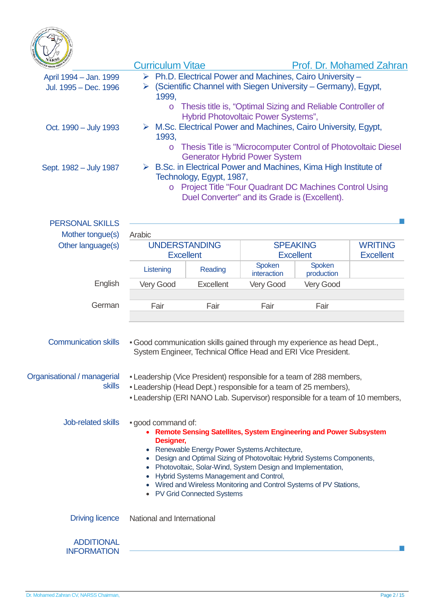

| <b>NARS</b>                                     | <b>Curriculum Vitae</b>                                                                                                                                                                                                                                                                                                                                                                                                                                                                                                                                       |           |                                                                                                                                           |                      | <b>Prof. Dr. Mohamed Zahran</b>    |  |
|-------------------------------------------------|---------------------------------------------------------------------------------------------------------------------------------------------------------------------------------------------------------------------------------------------------------------------------------------------------------------------------------------------------------------------------------------------------------------------------------------------------------------------------------------------------------------------------------------------------------------|-----------|-------------------------------------------------------------------------------------------------------------------------------------------|----------------------|------------------------------------|--|
| April 1994 - Jan. 1999<br>Jul. 1995 - Dec. 1996 | 1999.                                                                                                                                                                                                                                                                                                                                                                                                                                                                                                                                                         |           | $\triangleright$ Ph.D. Electrical Power and Machines, Cairo University -<br>(Scientific Channel with Siegen University – Germany), Egypt, |                      |                                    |  |
| Oct. 1990 - July 1993<br>Sept. 1982 - July 1987 | Thesis title is, "Optimal Sizing and Reliable Controller of<br>$\circ$<br>Hybrid Photovoltaic Power Systems",<br>$\triangleright$ M.Sc. Electrical Power and Machines, Cairo University, Egypt,<br>1993,<br>Thesis Title is "Microcomputer Control of Photovoltaic Diesel<br>$\circ$<br><b>Generator Hybrid Power System</b><br>$\triangleright$ B.Sc. in Electrical Power and Machines, Kima High Institute of<br>Technology, Egypt, 1987,<br><b>Project Title "Four Quadrant DC Machines Control Using</b><br>Duel Converter" and its Grade is (Excellent). |           |                                                                                                                                           |                      |                                    |  |
| <b>PERSONAL SKILLS</b>                          |                                                                                                                                                                                                                                                                                                                                                                                                                                                                                                                                                               |           |                                                                                                                                           |                      |                                    |  |
| Mother tongue(s)<br>Other language(s)           | Arabic<br><b>UNDERSTANDING</b><br><b>Excellent</b>                                                                                                                                                                                                                                                                                                                                                                                                                                                                                                            |           | <b>SPEAKING</b><br><b>Excellent</b>                                                                                                       |                      | <b>WRITING</b><br><b>Excellent</b> |  |
|                                                 | Listening                                                                                                                                                                                                                                                                                                                                                                                                                                                                                                                                                     | Reading   | Spoken<br>interaction                                                                                                                     | Spoken<br>production |                                    |  |
| English                                         | Very Good                                                                                                                                                                                                                                                                                                                                                                                                                                                                                                                                                     | Excellent | Very Good                                                                                                                                 | Very Good            |                                    |  |
| German                                          | Fair                                                                                                                                                                                                                                                                                                                                                                                                                                                                                                                                                          | Fair      | Fair                                                                                                                                      | Fair                 |                                    |  |
| <b>Communication skills</b>                     | . Good communication skills gained through my experience as head Dept.,                                                                                                                                                                                                                                                                                                                                                                                                                                                                                       |           | System Engineer, Technical Office Head and ERI Vice President.                                                                            |                      |                                    |  |
| Organisational / managerial<br><b>skills</b>    | - Leadership (Vice President) responsible for a team of 288 members,<br>- Leadership (Head Dept.) responsible for a team of 25 members),<br>- Leadership (ERI NANO Lab. Supervisor) responsible for a team of 10 members,                                                                                                                                                                                                                                                                                                                                     |           |                                                                                                                                           |                      |                                    |  |
| Job-related skills                              | . good command of:<br>Remote Sensing Satellites, System Engineering and Power Subsystem<br>Designer,<br>Renewable Energy Power Systems Architecture,<br>Design and Optimal Sizing of Photovoltaic Hybrid Systems Components,<br>Photovoltaic, Solar-Wind, System Design and Implementation,<br>Hybrid Systems Management and Control,<br>Wired and Wireless Monitoring and Control Systems of PV Stations,<br>• PV Grid Connected Systems                                                                                                                     |           |                                                                                                                                           |                      |                                    |  |
| <b>Driving licence</b>                          | National and International                                                                                                                                                                                                                                                                                                                                                                                                                                                                                                                                    |           |                                                                                                                                           |                      |                                    |  |
| <b>ADDITIONAL</b><br><b>INFORMATION</b>         |                                                                                                                                                                                                                                                                                                                                                                                                                                                                                                                                                               |           |                                                                                                                                           |                      |                                    |  |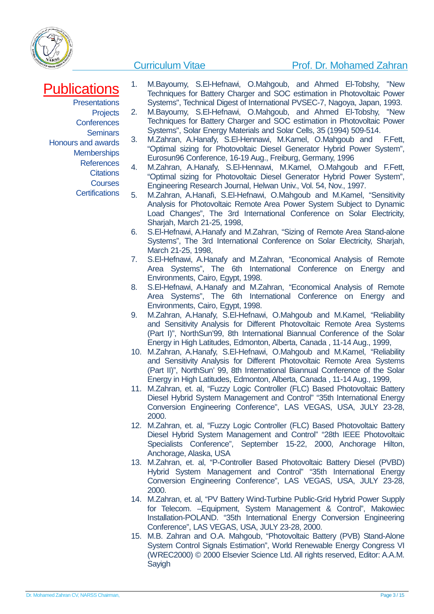

### Curriculum Vitae **Prof. Dr. Mohamed Zahran**

# **Publications**

**Presentations Projects Conferences** Seminars Honours and awards **Memberships References Citations Courses** 

**Certifications** 

- 1. M.Bayoumy, S.El-Hefnawi, O.Mahgoub, and Ahmed El-Tobshy, "New Techniques for Battery Charger and SOC estimation in Photovoltaic Power Systems", Technical Digest of International PVSEC-7, Nagoya, Japan, 1993.
- 2. M.Bayoumy, S.El-Hefnawi, O.Mahgoub, and Ahmed El-Tobshy, "New Techniques for Battery Charger and SOC estimation in Photovoltaic Power Systems", Solar Energy Materials and Solar Cells, 35 (1994) 509-514.
- 3. M.Zahran, A.Hanafy, S.El-Hennawi, M.Kamel, O.Mahgoub and F.Fett, "Optimal sizing for Photovoltaic Diesel Generator Hybrid Power System", Eurosun96 Conference, 16-19 Aug., Freiburg, Germany, 1996
- 4. M.Zahran, A.Hanafy, S.El-Hennawi, M.Kamel, O.Mahgoub and F.Fett, "Optimal sizing for Photovoltaic Diesel Generator Hybrid Power System", Engineering Research Journal, Helwan Univ., Vol. 54, Nov., 1997.
- 5. M.Zahran, A.Hanafi, S.El-Hefnawi, O.Mahgoub and M.Kamel, "Sensitivity Analysis for Photovoltaic Remote Area Power System Subject to Dynamic Load Changes", The 3rd International Conference on Solar Electricity, Sharjah, March 21-25, 1998,
- 6. S.El-Hefnawi, A.Hanafy and M.Zahran, "Sizing of Remote Area Stand-alone Systems", The 3rd International Conference on Solar Electricity, Sharjah, March 21-25, 1998,
- 7. S.El-Hefnawi, A.Hanafy and M.Zahran, "Economical Analysis of Remote Area Systems", The 6th International Conference on Energy and Environments, Cairo, Egypt, 1998.
- 8. S.El-Hefnawi, A.Hanafy and M.Zahran, "Economical Analysis of Remote Area Systems", The 6th International Conference on Energy and Environments, Cairo, Egypt, 1998.
- 9. M.Zahran, A.Hanafy, S.El-Hefnawi, O.Mahgoub and M.Kamel, "Reliability and Sensitivity Analysis for Different Photovoltaic Remote Area Systems (Part I)", NorthSun'99, 8th International Biannual Conference of the Solar Energy in High Latitudes, Edmonton, Alberta, Canada , 11-14 Aug., 1999,
- 10. M.Zahran, A.Hanafy, S.El-Hefnawi, O.Mahgoub and M.Kamel, "Reliability and Sensitivity Analysis for Different Photovoltaic Remote Area Systems (Part II)", NorthSun' 99, 8th International Biannual Conference of the Solar Energy in High Latitudes, Edmonton, Alberta, Canada , 11-14 Aug., 1999,
- 11. M.Zahran, et. al, "Fuzzy Logic Controller (FLC) Based Photovoltaic Battery Diesel Hybrid System Management and Control" "35th International Energy Conversion Engineering Conference", LAS VEGAS, USA, JULY 23-28, 2000.
- 12. M.Zahran, et. al, "Fuzzy Logic Controller (FLC) Based Photovoltaic Battery Diesel Hybrid System Management and Control" "28th IEEE Photovoltaic Specialists Conference", September 15-22, 2000, Anchorage Hilton, Anchorage, Alaska, USA
- 13. M.Zahran, et. al, "P-Controller Based Photovoltaic Battery Diesel (PVBD) Hybrid System Management and Control" "35th International Energy Conversion Engineering Conference", LAS VEGAS, USA, JULY 23-28, 2000.
- 14. M.Zahran, et. al, "PV Battery Wind-Turbine Public-Grid Hybrid Power Supply for Telecom. –Equipment, System Management & Control", Makowiec Installation-POLAND. "35th International Energy Conversion Engineering Conference", LAS VEGAS, USA, JULY 23-28, 2000.
- 15. M.B. Zahran and O.A. Mahgoub, "Photovoltaic Battery (PVB) Stand-Alone System Control Signals Estimation", World Renewable Energy Congress VI (WREC2000) © 2000 Elsevier Science Ltd. All rights reserved, Editor: A.A.M. **Sayigh**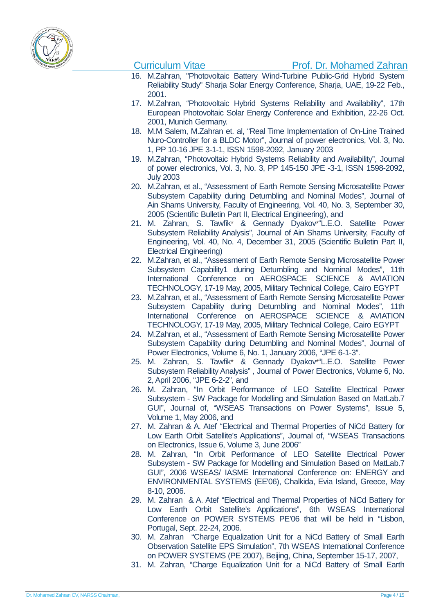

- 16. M.Zahran, "Photovoltaic Battery Wind-Turbine Public-Grid Hybrid System Reliability Study'' Sharja Solar Energy Conference, Sharja, UAE, 19-22 Feb., 2001.
- 17. M.Zahran, "Photovoltaic Hybrid Systems Reliability and Availability", 17th European Photovoltaic Solar Energy Conference and Exhibition, 22-26 Oct. 2001, Munich Germany.
- 18. M.M Salem, M.Zahran et. al, "Real Time Implementation of On-Line Trained Nuro-Controller for a BLDC Motor", Journal of power electronics, Vol. 3, No. 1, PP 10-16 JPE 3-1-1, ISSN 1598-2092, January 2003
- 19. M.Zahran, "Photovoltaic Hybrid Systems Reliability and Availability", Journal of power electronics, Vol. 3, No. 3, PP 145-150 JPE -3-1, ISSN 1598-2092, July 2003
- 20. M.Zahran, et al., "Assessment of Earth Remote Sensing Microsatellite Power Subsystem Capability during Detumbling and Nominal Modes", Journal of Ain Shams University, Faculty of Engineering, Vol. 40, No. 3, September 30, 2005 (Scientific Bulletin Part II, Electrical Engineering), and
- 21. M. Zahran, S. Tawfik\* & Gennady Dyakov\*"L.E.O. Satellite Power Subsystem Reliability Analysis", Journal of Ain Shams University, Faculty of Engineering, Vol. 40, No. 4, December 31, 2005 (Scientific Bulletin Part II, Electrical Engineering)
- 22. M.Zahran, et al., "Assessment of Earth Remote Sensing Microsatellite Power Subsystem Capability1 during Detumbling and Nominal Modes", 11th International Conference on AEROSPACE SCIENCE & AVIATION TECHNOLOGY, 17-19 May, 2005, Military Technical College, Cairo EGYPT
- 23. M.Zahran, et al., "Assessment of Earth Remote Sensing Microsatellite Power Subsystem Capability during Detumbling and Nominal Modes", 11th International Conference on AEROSPACE SCIENCE & AVIATION TECHNOLOGY, 17-19 May, 2005, Military Technical College, Cairo EGYPT
- 24. M.Zahran, et al., "Assessment of Earth Remote Sensing Microsatellite Power Subsystem Capability during Detumbling and Nominal Modes", Journal of Power Electronics, Volume 6, No. 1, January 2006, "JPE 6-1-3".
- 25. M. Zahran, S. Tawfik\* & Gennady Dyakov\*"L.E.O. Satellite Power Subsystem Reliability Analysis" , Journal of Power Electronics, Volume 6, No. 2, April 2006, "JPE 6-2-2", and
- 26. M. Zahran, "In Orbit Performance of LEO Satellite Electrical Power Subsystem - SW Package for Modelling and Simulation Based on MatLab.7 GUI", Journal of, "WSEAS Transactions on Power Systems", Issue 5, Volume 1, May 2006, and
- 27. M. Zahran & A. Atef "Electrical and Thermal Properties of NiCd Battery for Low Earth Orbit Satellite's Applications", Journal of, "WSEAS Transactions on Electronics, Issue 6, Volume 3, June 2006"
- 28. M. Zahran, "In Orbit Performance of LEO Satellite Electrical Power Subsystem - SW Package for Modelling and Simulation Based on MatLab.7 GUI", 2006 WSEAS/ IASME International Conference on: ENERGY and ENVIRONMENTAL SYSTEMS (EE'06), Chalkida, Evia Island, Greece, May 8-10, 2006.
- 29. M. Zahran & A. Atef "Electrical and Thermal Properties of NiCd Battery for Low Earth Orbit Satellite's Applications", 6th WSEAS International Conference on POWER SYSTEMS PE'06 that will be held in "Lisbon, Portugal, Sept. 22-24, 2006.
- 30. M. Zahran "Charge Equalization Unit for a NiCd Battery of Small Earth Observation Satellite EPS Simulation", 7th WSEAS International Conference on POWER SYSTEMS (PE 2007), Beijing, China, September 15-17, 2007,
- 31. M. Zahran, "Charge Equalization Unit for a NiCd Battery of Small Earth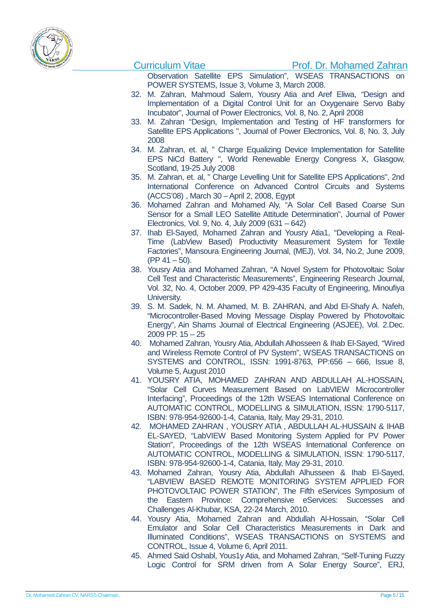

Observation Satellite EPS Simulation", WSEAS TRANSACTIONS on POWER SYSTEMS, Issue 3, Volume 3, March 2008.

- 32. M. Zahran, Mahmoud Salem, Yousry Atia and Aref Eliwa, "Design and Implementation of a Digital Control Unit for an Oxygenaire Servo Baby Incubator", Journal of Power Electronics, Vol. 8, No. 2, April 2008
- 33. M. Zahran "Design, Implementation and Testing of HF transformers for Satellite EPS Applications ", Journal of Power Electronics, Vol. 8, No. 3, July 2008
- 34. M. Zahran, et. al, " Charge Equalizing Device Implementation for Satellite EPS NiCd Battery ", World Renewable Energy Congress X, Glasgow, Scotland, 19-25 July 2008
- 35. M. Zahran, et. al, " Charge Levelling Unit for Satellite EPS Applications", 2nd International Conference on Advanced Control Circuits and Systems (ACCS'08) , March 30 –April 2, 2008, Egypt
- 36. Mohamed Zahran and Mohamed Aly, "A Solar Cell Based Coarse Sun Sensor for a Small LEO Satellite Attitude Determination", Journal of Power Electronics, Vol. 9, No. 4, July 2009 (631 – 642)
- 37. Ihab El-Sayed, Mohamed Zahran and Yousry Atia1, "Developing a Real-Time (LabView Based) Productivity Measurement System for Textile Factories", Mansoura Engineering Journal, (MEJ), Vol. 34, No.2, June 2009,  $(PP 41 – 50)$ .
- 38. Yousry Atia and Mohamed Zahran, "A Novel System for Photovoltaic Solar Cell Test and Characteristic Measurements", Engineering Research Journal, Vol. 32, No. 4, October 2009, PP 429-435 Faculty of Engineering, Minoufiya University.
- 39. S. M. Sadek, N. M. Ahamed, M. B. ZAHRAN, and Abd El-Shafy A. Nafeh, "Microcontroller-Based Moving Message Display Powered by Photovoltaic Energy", Ain Shams Journal of Electrical Engineering (ASJEE), Vol. 2.Dec. 2009 PP. 15 – 25
- 40. Mohamed Zahran, Yousry Atia, Abdullah Alhosseen & Ihab El-Sayed, "Wired and Wireless Remote Control of PV System", WSEAS TRANSACTIONS on SYSTEMS and CONTROL, ISSN: 1991-8763, PP:656 – 666, Issue 8, Volume 5, August 2010
- 41. YOUSRY ATIA, MOHAMED ZAHRAN AND ABDULLAH AL-HOSSAIN, "Solar Cell Curves Measurement Based on LabVIEW Microcontroller Interfacing", Proceedings of the 12th WSEAS International Conference on AUTOMATIC CONTROL, MODELLING & SIMULATION, ISSN: 1790-5117, ISBN: 978-954-92600-1-4, Catania, Italy, May 29-31, 2010.
- 42. MOHAMED ZAHRAN , YOUSRY ATIA , ABDULLAH AL-HUSSAIN & IHAB EL-SAYED, "LabVIEW Based Monitoring System Applied for PV Power Station", Proceedings of the 12th WSEAS International Conference on AUTOMATIC CONTROL, MODELLING & SIMULATION, ISSN: 1790-5117, ISBN: 978-954-92600-1-4, Catania, Italy, May 29-31, 2010.
- 43. Mohamed Zahran, Yousry Atia, Abdullah Alhusseen & Ihab El-Sayed, "LABVIEW BASED REMOTE MONITORING SYSTEM APPLIED FOR PHOTOVOLTAIC POWER STATION", The Fifth eServices Symposium of the Eastern Province: Comprehensive eServices: Successes and Challenges Al-Khubar, KSA, 22-24 March, 2010.
- 44. Yousry Atia, Mohamed Zahran and Abdullah Al-Hossain, "Solar Cell Emulator and Solar Cell Characteristics Measurements in Dark and Illuminated Conditions", WSEAS TRANSACTIONS on SYSTEMS and CONTROL, Issue 4, Volume 6, April 2011.
- 45. Ahmed Said Oshabl, Yous1y Atia, and Mohamed Zahran, "Self-Tuning Fuzzy Logic Control for SRM driven from A Solar Energy Source", ERJ,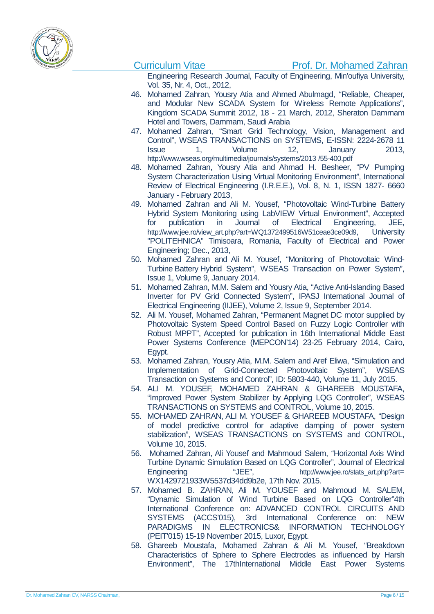

Engineering Research Journal, Faculty of Engineering, Min'oufiya University, Vol. 35, Nr. 4, Oct., 2012,

- 46. Mohamed Zahran, Yousry Atia and Ahmed Abulmagd, "Reliable, Cheaper, and Modular New SCADA System for Wireless Remote Applications", Kingdom SCADA Summit 2012, 18 - 21 March, 2012, Sheraton Dammam Hotel and Towers, Dammam, Saudi Arabia
- 47. Mohamed Zahran, "Smart Grid Technology, Vision, Management and Control", WSEAS TRANSACTIONS on SYSTEMS, E-ISSN: 2224-2678 11 Issue 1, Volume 12, January 2013, [http://www.wseas.org/multimedia/journals/systems/2013 /55-400.pdf](http://www.wseas.org/multimedia/journals/systems/2013%20/55-400.pdf)
- 48. Mohamed Zahran, Yousry Atia and Ahmad H. Besheer, "PV Pumping System Characterization Using Virtual Monitoring Environment", International Review of Electrical Engineering (I.R.E.E.), Vol. 8, N. 1, ISSN 1827- 6660 January - February 2013,
- 49. Mohamed Zahran and Ali M. Yousef, "Photovoltaic Wind-Turbine Battery Hybrid System Monitoring using LabVIEW Virtual Environment", Accepted for publication in Journal of Electrical Engineering, JEE, [http://www.jee.ro/view\\_art.php?art=WQ1372499516W51ceae3ce09d9,](http://www.jee.ro/view_art.php?art=WQ1372499516W51ceae3ce09d9) University "POLITEHNICA" Timisoara, Romania, Faculty of Electrical and Power Engineering; Dec., 2013,
- 50. Mohamed Zahran and Ali M. Yousef, "Monitoring of Photovoltaic Wind-Turbine Battery Hybrid System", WSEAS Transaction on Power System", Issue 1, Volume 9, January 2014.
- 51. Mohamed Zahran, M.M. Salem and Yousry Atia, "Active Anti-Islanding Based Inverter for PV Grid Connected System", IPASJ International Journal of Electrical Engineering (IIJEE), Volume 2, Issue 9, September 2014.
- 52. Ali M. Yousef, Mohamed Zahran, "Permanent Magnet DC motor supplied by Photovoltaic System Speed Control Based on Fuzzy Logic Controller with Robust MPPT", Accepted for publication in 16th International Middle East Power Systems Conference (MEPCON'14) 23-25 February 2014, Cairo, Egypt.
- 53. Mohamed Zahran, Yousry Atia, M.M. Salem and Aref Eliwa, "Simulation and Implementation of Grid-Connected Photovoltaic System", WSEAS Transaction on Systems and Control", ID: 5803-440, Volume 11, July 2015.
- 54. ALI M. YOUSEF, MOHAMED ZAHRAN & GHAREEB MOUSTAFA, "Improved Power System Stabilizer by Applying LQG Controller", WSEAS TRANSACTIONS on SYSTEMS and CONTROL, Volume 10, 2015.
- 55. MOHAMED ZAHRAN, ALI M. YOUSEF & GHAREEB MOUSTAFA, "Design of model predictive control for adaptive damping of power system stabilization", WSEAS TRANSACTIONS on SYSTEMS and CONTROL, Volume 10, 2015.
- 56. Mohamed Zahran, Ali Yousef and Mahmoud Salem, "Horizontal Axis Wind Turbine Dynamic Simulation Based on LQG Controller", Journal of Electrical Engineering "JEE", [http://www.jee.ro/stats\\_art.php?art=](http://www.jee.ro/stats_art.php?art) WX1429721933W5537d34dd9b2e, 17th Nov. 2015.
- 57. Mohamed B. ZAHRAN, Ali M. YOUSEF and Mahmoud M. SALEM, "Dynamic Simulation of Wind Turbine Based on LQG Controller"4th International Conference on: ADVANCED CONTROL CIRCUITS AND SYSTEMS (ACCS'015), 3rd International Conference on: NEW PARADIGMS IN ELECTRONICS& INFORMATION TECHNOLOGY (PEIT'015) 15-19 November 2015, Luxor, Egypt.
- 58. Ghareeb Moustafa, Mohamed Zahran & Ali M. Yousef, "Breakdown Characteristics of Sphere to Sphere Electrodes as influenced by Harsh Environment", The 17thInternational Middle East Power Systems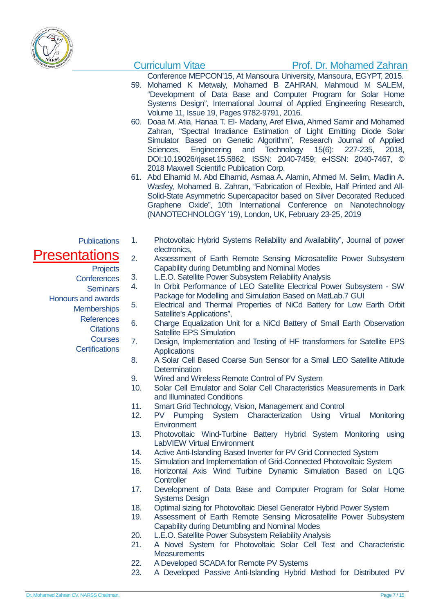

## Curriculum Vitae **Prof. Dr. Mohamed Zahran**

Conference MEPCON'15, At Mansoura University, Mansoura, EGYPT, 2015.

- 59. Mohamed K Metwaly, Mohamed B ZAHRAN, Mahmoud M SALEM, "Development of Data Base and Computer Program for Solar Home Systems Design", International Journal of Applied Engineering Research, Volume 11, Issue 19, Pages 9782-9791, 2016.
- 60. Doaa M. Atia, Hanaa T. El- Madany, Aref Eliwa, Ahmed Samir and Mohamed Zahran, "Spectral Irradiance Estimation of Light Emitting Diode Solar Simulator Based on Genetic Algorithm", Research Journal of Applied Sciences, Engineering and Technology 15(6): 227-235, 2018, DOI:10.19026/rjaset.15.5862, ISSN: 2040-7459; e-ISSN: 2040-7467, © 2018 Maxwell Scientific Publication Corp.
- 61. Abd Elhamid M. Abd Elhamid, Asmaa A. Alamin, Ahmed M. Selim, Madlin A. Wasfey, Mohamed B. Zahran, "Fabrication of Flexible, Half Printed and All-Solid-State Asymmetric Supercapacitor based on Silver Decorated Reduced Graphene Oxide", 10th International Conference on Nanotechnology (NANOTECHNOLOGY '19), London, UK, February 23-25, 2019
- **Publications**

## **Presentations**

- **Projects**
- **Conferences** 
	- Seminars
- Honours and awards
	- **Memberships** 
		- References
			- **Citations**
			- **Courses**
		- **Certifications**
- 1. Photovoltaic Hybrid Systems Reliability and Availability", Journal of power electronics,
- 2. Assessment of Earth Remote Sensing Microsatellite Power Subsystem Capability during Detumbling and Nominal Modes
- 3. L.E.O. Satellite Power Subsystem Reliability Analysis
- 4. In Orbit Performance of LEO Satellite Electrical Power Subsystem SW Package for Modelling and Simulation Based on MatLab.7 GUI
- 5. Electrical and Thermal Properties of NiCd Battery for Low Earth Orbit Satellite's Applications",
- 6. Charge Equalization Unit for a NiCd Battery of Small Earth Observation Satellite EPS Simulation
- 7. Design, Implementation and Testing of HF transformers for Satellite EPS **Applications**
- 8. A Solar Cell Based Coarse Sun Sensor for a Small LEO Satellite Attitude **Determination**
- 9. Wired and Wireless Remote Control of PV System
- 10. Solar Cell Emulator and Solar Cell Characteristics Measurements in Dark and Illuminated Conditions
- 11. Smart Grid Technology, Vision, Management and Control
- 12. PV Pumping System Characterization Using Virtual Monitoring **Environment**
- 13. Photovoltaic Wind-Turbine Battery Hybrid System Monitoring using LabVIEW Virtual Environment
- 14. Active Anti-Islanding Based Inverter for PV Grid Connected System<br>15. Simulation and Implementation of Grid-Connected Photovoltaic System
- Simulation and Implementation of Grid-Connected Photovoltaic System
- 16. Horizontal Axis Wind Turbine Dynamic Simulation Based on LQG **Controller**
- 17. Development of Data Base and Computer Program for Solar Home Systems Design
- 18. Optimal sizing for Photovoltaic Diesel Generator Hybrid Power System
- 19. Assessment of Earth Remote Sensing Microsatellite Power Subsystem Capability during Detumbling and Nominal Modes
- 20. L.E.O. Satellite Power Subsystem Reliability Analysis
- 21. A Novel System for Photovoltaic Solar Cell Test and Characteristic **Measurements**
- 22. A Developed SCADA for Remote PV Systems<br>23. A Developed Passive Anti-Islanding Hybrid
- 23. A Developed Passive Anti-Islanding Hybrid Method for Distributed PV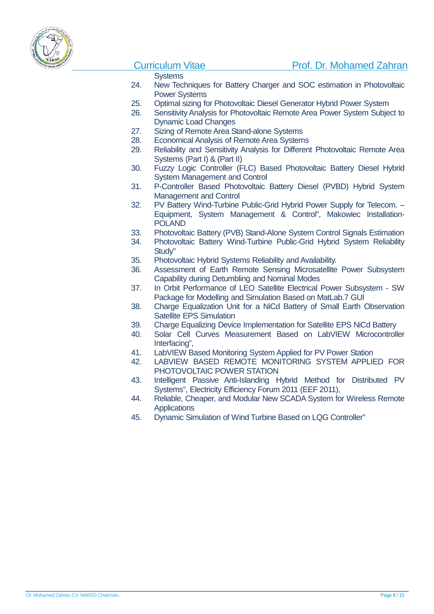

### **Systems**

- 24. New Techniques for Battery Charger and SOC estimation in Photovoltaic Power Systems
- 25. Optimal sizing for Photovoltaic Diesel Generator Hybrid Power System
- 26. Sensitivity Analysis for Photovoltaic Remote Area Power System Subject to Dynamic Load Changes
- 27. Sizing of Remote Area Stand-alone Systems
- 28. Economical Analysis of Remote Area Systems
- 29. Reliability and Sensitivity Analysis for Different Photovoltaic Remote Area Systems (Part I) & (Part II)
- 30. Fuzzy Logic Controller (FLC) Based Photovoltaic Battery Diesel Hybrid System Management and Control
- 31. P-Controller Based Photovoltaic Battery Diesel (PVBD) Hybrid System Management and Control
- 32. PV Battery Wind-Turbine Public-Grid Hybrid Power Supply for Telecom. Equipment, System Management & Control", Makowiec Installation-POLAND
- 33. Photovoltaic Battery (PVB) Stand-Alone System Control Signals Estimation
- 34. Photovoltaic Battery Wind-Turbine Public-Grid Hybrid System Reliability Study''
- 35. Photovoltaic Hybrid Systems Reliability and Availability.
- 36. Assessment of Earth Remote Sensing Microsatellite Power Subsystem Capability during Detumbling and Nominal Modes
- 37. In Orbit Performance of LEO Satellite Electrical Power Subsystem SW Package for Modelling and Simulation Based on MatLab.7 GUI
- 38. Charge Equalization Unit for a NiCd Battery of Small Earth Observation Satellite EPS Simulation
- 39. Charge Equalizing Device Implementation for Satellite EPS NiCd Battery<br>40. Solar, Cell, Curves, Measurement, Based, on LabVIEW, Microcontrolle
- Solar Cell Curves Measurement Based on LabVIEW Microcontroller Interfacing",
- 41. LabVIEW Based Monitoring System Applied for PV Power Station
- 42. LABVIEW BASED REMOTE MONITORING SYSTEM APPLIED FOR PHOTOVOLTAIC POWER STATION
- 43. Intelligent Passive Anti-Islanding Hybrid Method for Distributed PV Systems", Electricity Efficiency Forum 2011 (EEF 2011),
- 44. Reliable, Cheaper, and Modular New SCADA System for Wireless Remote **Applications**
- 45. Dynamic Simulation of Wind Turbine Based on LQG Controller"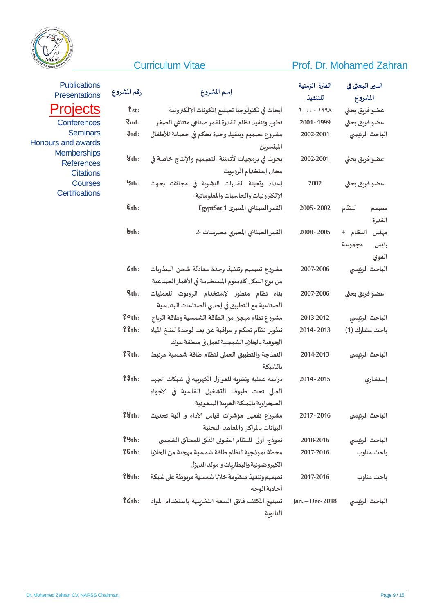## **Curriculum Vitae**



## Prof. Dr. Mohamed Zahran

| <b>Publications</b><br><b>Presentations</b> | رقم المشروع                | إسم المشروع                                         | الفترة الزمنية<br>للتنفيذ | الدور البحثي في<br>المشروع |
|---------------------------------------------|----------------------------|-----------------------------------------------------|---------------------------|----------------------------|
| Projects                                    | $\mathbf{\$st}$ :          | أبحاث في تكنولوجيا تصليع المكونات الإلكترونية       | $Y - 199\lambda$          | عضو فربق بحثي              |
| Conferences                                 | Rnd:                       | تطوبر وتنفيذ نظام القدرة لقمر صناعى متناهى الصغر    | 2001 - 1999               | عضو فربق بحثى              |
| <b>Seminars</b>                             | 3rd:                       | مشروع تصميم وتنفيذ وحدة تحكم في حضانة للأطفال       | 2002-2001                 | الباحث الرئيسي             |
| rs and awards                               |                            | المبتسرين                                           |                           |                            |
| <b>Memberships</b><br><b>References</b>     | 8th:                       | بحوث في برمجيات لأتمتتة التصميم والإنتاج خاصة في    | 2002-2001                 | عضو فربق بحثي              |
| <b>Citations</b>                            |                            | مجال إستخدام الروبوت                                |                           |                            |
| <b>Courses</b>                              | 9th:                       | إعداد وتعبئة القدرات البشربة في مجالات بحوث         | 2002                      | عضو فربق بحثي              |
| <b>Certifications</b>                       |                            | الإلكترونيات والحاسبات والمعلوماتية                 |                           |                            |
|                                             | $\xi$ th:                  | القمر الصناعى المصري EgyptSat 1                     | 2005 - 2002               | لنظام<br>مصبمم             |
|                                             |                            |                                                     |                           | القدرة                     |
|                                             | $\mathbf{b}_{\text{th}}$ : | القمر الصناعي المصري مصرسات -2                      | 2008 - 2005               | النظام +<br>مهنس           |
|                                             |                            |                                                     |                           | مجموعة<br>رئيس             |
|                                             |                            |                                                     |                           | القوي                      |
|                                             | $\mathcal{L}_{th}$ :       | مشروع تصميم وتنفيذ وحدة معادلة شحن البطاريات        | 2007-2006                 | الباحث الرئيسى             |
|                                             |                            | من نوع النيكل كادميوم المستخدمة في الأقمار الصناعية |                           |                            |
|                                             | $Qth$ :                    | بناء نظام متطور لإستخدام الروبوت للعمليات           | 2007-2006                 | عضو فربق بحثي              |
|                                             |                            | الصناعية مع التطبيق في إحدي الصناعات الهندسية       |                           |                            |
|                                             | $?$ $\circ$ <sub>th:</sub> | مشروع نظام مهجن من الطاقة الشمسية وطاقة الرباح      | 2013-2012                 | الباحث الرئيسي             |
|                                             | $8$ $th:$                  | تطوير نظام تحكم و مراقبة عن بعد لوحدة لضخ المياه    | 2014 - 2013               | باحث مشارك (1)             |
|                                             |                            | الجوفية بالخلايا الشمسية تعمل في منطقة تبوك         |                           |                            |
|                                             | ?2th:                      | النمذجة والتطبيق العملي لنظام طاقة شمسية مرتبط      | 2014-2013                 | الباحث الرئيسي             |
|                                             |                            | بالشبكة                                             |                           |                            |
|                                             | $?3th$ :                   | دراسة عملية ونظربة للعوازل الكهربية في شبكات الجهد  | 2014 - 2015               | إستشاري                    |
|                                             |                            | العالي تحت ظروف التشغيل القاسية في الأجواء          |                           |                            |
|                                             |                            | الصحراوية بالمملكة العربية السعودية                 |                           |                            |
|                                             | 88th:                      | مشروع تفعيل مؤشرات قياس الآداء و آلية تحديث         | 2017 - 2016               | الباحث الرئيسي             |
|                                             |                            | البيانات بالمراكز والمعاهد البحثية                  |                           |                            |
|                                             | $\frac{9}{2}$              | نموذج أولى للنظام الضوئي الذكي للمحاكي الشمسي       | 2018-2016                 | الباحث الرئيسي             |
|                                             | $\xi$ ch:                  | محطة نموذجية لنظام طاقة شمسية مهجنة من الخلايا      | 2017-2016                 | باحث مناوب                 |
|                                             |                            | الكهروضوئية والبطاربات و مولد الديزل                |                           |                            |
|                                             | $8$ bth:                   | تصميم وتنفيذ منظومة خلايا شمسية مربوطة على شبكة     | 2017-2016                 | باحث مناوب                 |
|                                             |                            | أحادية الوجه                                        |                           |                            |
|                                             | $?$ $Cth:$                 | تصنيع المكثف فائق السعة التخزبنية باستخدام المواد   | Jan. - Dec-2018           | الباحث الرئيسي             |
|                                             |                            | النانوبة                                            |                           |                            |

Proje Confe Ser Honours and a Membe Refer Cit  $C<sub>0</sub>$ Certific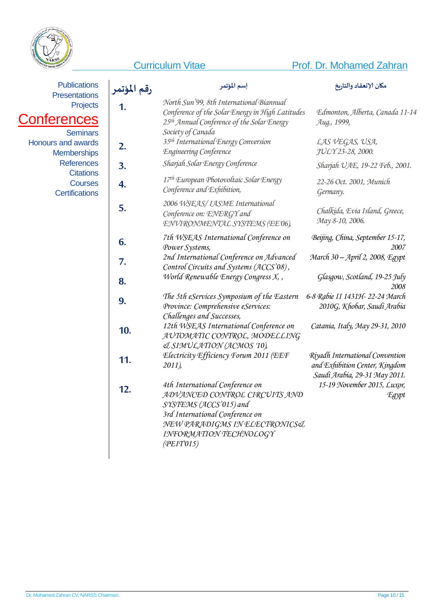

Confe

## **Curriculum Vitae Prof. Dr. Mohamed Zahran**

| <b>Publications</b>                                               | رقم المؤتمر | إسم المؤتمر                                                                                                                                                                                            | مكان الإنعقاد والتاربخ                                                                             |
|-------------------------------------------------------------------|-------------|--------------------------------------------------------------------------------------------------------------------------------------------------------------------------------------------------------|----------------------------------------------------------------------------------------------------|
| <b>Presentations</b><br>Projects<br>onferences<br><b>Seminars</b> | 1.          | North Sun'99, 8th International Biannual<br>Conference of the Solar Energy in High Latitudes<br>25 <sup>th</sup> Annual Conference of the Solar Energy<br>Society of Canada                            | Edmonton, Alberta, Canada 11-14<br>Aug., 1999,                                                     |
| <b>Honours and awards</b><br><b>Memberships</b>                   | 2.          | 35 <sup>th</sup> International Energy Conversion<br>Engineering Conference                                                                                                                             | LAS VEGAS, USA,<br>JULY 23-28, 2000.                                                               |
| <b>References</b>                                                 | 3.          | Sharjah Solar Energy Conference                                                                                                                                                                        | Sharjah UAE, 19-22 Feb., 2001.                                                                     |
| <b>Citations</b><br><b>Courses</b><br><b>Certifications</b>       | 4.          | 17th European Photovoltaic Solar Energy<br>Conference and Exhibition,                                                                                                                                  | 22-26 Oct. 2001, Munich<br>Germany.                                                                |
|                                                                   | 5.          | 2006 WSEAS/ IASME International<br>Conference on: ENERGY and<br>ENVIRONMENTAL SYSTEMS (EE 06),                                                                                                         | Chalkida, Evia Island, Greece,<br>Мау 8-10, 2006.                                                  |
|                                                                   | 6.          | 7th WSEAS International Conference on<br>Power Systems,                                                                                                                                                | Beijing, China, September 15-17,<br>2007                                                           |
|                                                                   | 7.          | 2nd International Conference on Advanced<br>Control Circuits and Systems (ACCS'08),                                                                                                                    | March 30 - April 2, 2008, Egypt                                                                    |
|                                                                   | 8.          | World Renewable Energy Congress X,,                                                                                                                                                                    | Glasgow, Scotland, 19-25 July<br>2008                                                              |
|                                                                   | 9.          | The 5th eServices Symposium of the Eastern<br>Province: Comprehensive eServices:<br>Challenges and Successes,                                                                                          | 6-8 Rabie II 1431H- 22-24 March<br>2010G, Khobar, Saudi Arabia                                     |
|                                                                   | 10.         | 12th WSEAS International Conference on<br>AUTOMATIC CONTROL, MODELLING<br><b>JSIMULATION (ACMOS '10),</b>                                                                                              | Catania, Italy, May 29-31, 2010                                                                    |
|                                                                   | 11.         | Electricity Efficiency Forum 2011 (EEF<br>2011)                                                                                                                                                        | Riyadh International Convention<br>and Exhibition Center, Kingdom<br>Saudi Arabia, 29-31 May 2011. |
|                                                                   | 12.         | 4th International Conference on<br>ADVANCED CONTROL CIRCUITS AND<br>SYSTEMS (ACCS'015) and<br>3rd International Conference on<br>NEW PARADIGMS IN ELECTRONICS&<br>INFORMATION TECHNOLOGY<br>(PEIT'015) | 15-19 November 2015, Luxor,<br>Egypt                                                               |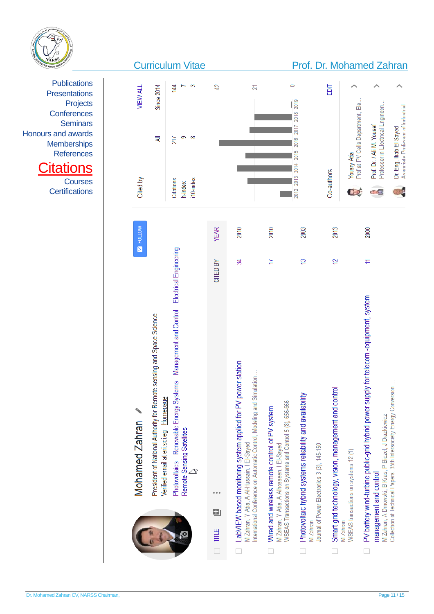

| S<br>42<br><b>Since 2014</b><br>$\circ$<br>#<br>N<br>記<br><b>VIEW ALL</b><br>$\mathbf{I}^{\mathbf{e}}_{\mathbf{a}}$<br>Prof at PV Cells Department, Ele<br>Professor in Electrical Engineeri.<br>2018<br>Prof. Dr. / Ali M. Yousef<br>2017<br>Dr. Eng. Ihab El-Sayed<br>თ<br>8<br>₹<br>217<br>2016<br>2015<br><b>Yousry Atia</b><br>2014<br>Co-authors<br>2013<br>Cited by<br><b>Citations</b><br>i10-index<br>h-index<br>$\overline{C}$<br>2012<br>HD<br><b>NOTION</b><br><b>YEAR</b><br>2010<br>2013<br>2010<br>2003<br>2000<br>Management and Control Electrical Engineering<br>ä<br>엳<br>ಸ<br>H<br>₣<br>CITED BY<br>for telecom.-equipment, system<br>President of National Authority for Remote sensing and Space Science<br>Photovoltaics Renewable Energy Systems<br>ţ<br>PV battery wind-turbine public-grid hybrid power supply<br>Verified email at eri.sci.eg - Homepage<br><b>Mohamed Zahran</b><br>Remote Sensing Satellites<br>ο | <b>Curriculum Vitae</b> |                                                                                                                                                                                      |                                                                                                                                                         | Prof. Dr. Mohamed Zahran                                                                                             |                                                       |                                      |                                                                                |                                                                     |
|------------------------------------------------------------------------------------------------------------------------------------------------------------------------------------------------------------------------------------------------------------------------------------------------------------------------------------------------------------------------------------------------------------------------------------------------------------------------------------------------------------------------------------------------------------------------------------------------------------------------------------------------------------------------------------------------------------------------------------------------------------------------------------------------------------------------------------------------------------------------------------------------------------------------------------------------|-------------------------|--------------------------------------------------------------------------------------------------------------------------------------------------------------------------------------|---------------------------------------------------------------------------------------------------------------------------------------------------------|----------------------------------------------------------------------------------------------------------------------|-------------------------------------------------------|--------------------------------------|--------------------------------------------------------------------------------|---------------------------------------------------------------------|
|                                                                                                                                                                                                                                                                                                                                                                                                                                                                                                                                                                                                                                                                                                                                                                                                                                                                                                                                                |                         |                                                                                                                                                                                      |                                                                                                                                                         |                                                                                                                      |                                                       |                                      |                                                                                | Associate Professor of Industrial                                   |
|                                                                                                                                                                                                                                                                                                                                                                                                                                                                                                                                                                                                                                                                                                                                                                                                                                                                                                                                                |                         |                                                                                                                                                                                      |                                                                                                                                                         |                                                                                                                      |                                                       |                                      |                                                                                | S                                                                   |
|                                                                                                                                                                                                                                                                                                                                                                                                                                                                                                                                                                                                                                                                                                                                                                                                                                                                                                                                                |                         |                                                                                                                                                                                      |                                                                                                                                                         |                                                                                                                      |                                                       |                                      |                                                                                |                                                                     |
| M Zahran<br><b>TITLE</b>                                                                                                                                                                                                                                                                                                                                                                                                                                                                                                                                                                                                                                                                                                                                                                                                                                                                                                                       |                         | LabVIEW based monitoring system applied for PV power station<br>International Conference on Automatic Control, Modeling and Simulation<br>M Zahran, Y Atia, A Al-Hussain, I El-Sayed | WSEAS Transactions on Systems and Control 5 (8), 656-666<br>Wired and wireless remote control of PV system<br>M Zahran, Y Atia, A Alhosseen, I El-Sayed | Photovoltaic hybrid systems reliability and availability<br>Journal of Power Electronics 3 (3), 145-150<br>VI Zahran | Smart grid technology, vision, management and control | WSEAS transactions on systems 12 (1) | M Zahran, A Dmowski, B Kras, P Biczel, J Drazkiewicz<br>management and control | Collection of Technical Papers. 35th Intersociety Energy Conversion |

**Publications Presentations** Projects **Conferences Seminars** Honours and awards **Memberships** References

# **Citations**

**Courses Certifications**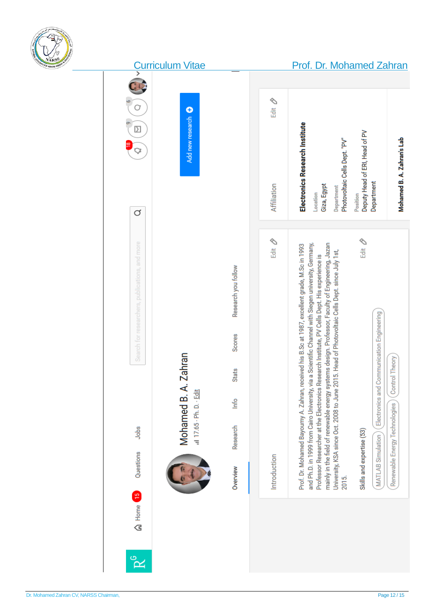

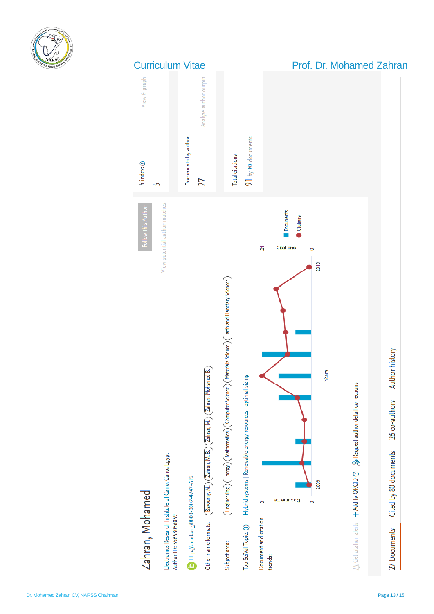

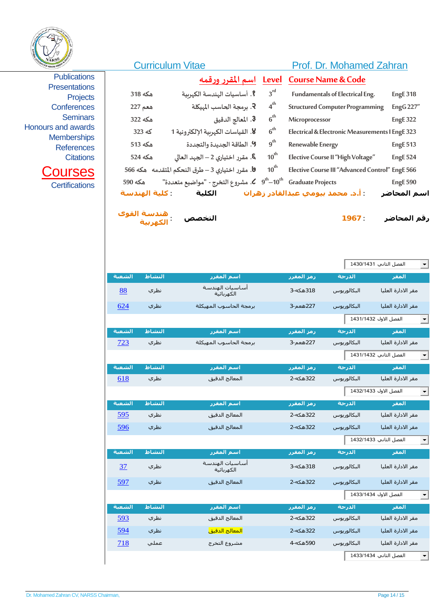

|                                                                                                                               |                                           | <b>Curriculum Vitae</b>                                                                                                                                                                                                   |                                                              | Prof. Dr. Mohamed Zahran                                                                                                                                                                |                                                        |
|-------------------------------------------------------------------------------------------------------------------------------|-------------------------------------------|---------------------------------------------------------------------------------------------------------------------------------------------------------------------------------------------------------------------------|--------------------------------------------------------------|-----------------------------------------------------------------------------------------------------------------------------------------------------------------------------------------|--------------------------------------------------------|
| <b>Publications</b><br><b>Presentations</b><br><b>Projects</b><br><b>Conferences</b><br><b>Seminars</b><br>Honours and awards | هكه 318<br>هعم 227<br>هكه 322             | <u>اسم المقرر ورقمه</u><br><b>؟</b> . أساسيات الهندسة الكهربية<br><b>۶</b> . برمجة الحاسب الميكلة<br>3. المعالج الدقيق                                                                                                    | Level<br>$3^{rd}$<br>$4^{th}$<br>6 <sup>th</sup>             | <b>Course Name &amp; Code</b><br>Fundamentals of Electrical Eng.<br><b>Structured Computer Programming</b><br>Microprocessor                                                            | <b>EngE 318</b><br><b>EngG 227"</b><br><b>EngE 322</b> |
| <b>Memberships</b><br><b>References</b><br><b>Citations</b><br><b>Courses</b><br><b>Certifications</b>                        | که 323<br>هكه 513<br>هكه 524<br>هكه 590   | 8. القياسات الكهربية الإلكترونية 1<br>9. الطاقة الجديدة والتجددة<br><b>.6</b> مقرر اختيارى 2 – الجهد العالى<br>9. مقرر اختياري 3 – طرق النحكم المتقدمه   هكه 566<br>"ه مشروع التخرج - "مواضيع متعددة " . ه $\mu^{\rm th}$ | $6^{th}$<br>$g^{th}$<br>$10^{\text{th}}$<br>$10^{\text{th}}$ | Electrical & Electronic Measurements I EngE 323<br>Renewable Energy<br>Elective Course II "High Voltage"<br>Elective Course III "Advanced Control" EngE 566<br><b>Graduate Projects</b> | <b>EngE 513</b><br><b>EngE 524</b><br><b>EngE 590</b>  |
|                                                                                                                               | : كلية الهندسة<br>هندسة القوى<br>الكهربية | الكلية<br>التخصص                                                                                                                                                                                                          |                                                              | . أ.د. محمد بيومي عبدالقادر زهران<br>1967:                                                                                                                                              | اسم المحاضر<br>رقم المحاضر                             |

|        |                               |            |             | الفصل الثاني 1430/1431<br>−∣ |
|--------|-------------------------------|------------|-------------|------------------------------|
| النشاط | اسم المقرر                    | رمز المقرر | الدرجة      | المقر                        |
| نظري   | أساسيات الهندسة<br>الكهربائية | 318هكه-3   | البكالوريوس | مقر الادارة العليا           |
| نظري   | برمجة الحاسوب المهيكلة        | 227هعم-3   | البكالوريوس | مقر الادارة العليا           |
|        |                               |            |             | الفصل الاول 1431/1432<br>╺╿  |
| النشاط | اسم المقرر                    | رمز المقرر | الدرجة      | المقر                        |
| نظري   | برمجة الحاسوب المهيكلة        | 227هعم-3   | البكالوريوس | مقر الادارة العليا           |
|        |                               |            |             | الفصل الثاني 1431/1432<br>┯╎ |
| النشاط | اسم المقرر                    | رمز المقرر | الدرجة      | المقر                        |
| نظري   | المعالج الدقيق                | 322هكە-2   | البكالوريوس | مقر الادارة العليا           |
|        |                               |            |             | الفصل الاول 1432/1433<br>−∥  |
| النشاط | اسم المقرر                    | رمز المقرر | الدرجة      | المقر                        |
| نظري   | المعالج الدقيق                | 322هكه-2   | البكالوريوس | مقر الادارة العليا           |
| نظري   | المعالج الدقيق                | 322هكه-2   | البكالوريوس | مقر الادارة العليا           |
|        |                               |            |             | الفصل الثاني 1432/1433       |
| النشاط | اسم المقرر                    | رمز المقرر | الدرجة      | المقر                        |
| نظري   | أساسيات الهندسة<br>الكهربائية | 318هكه-3   | البكالوريوس | مقر الادارة العليا           |
| نظري   | المعالج الدقيق                | 322هكه-2   | البكالوريوس | مقر الادارة العليا           |
|        |                               |            |             | الفصل الاول 1433/1434        |
| النشاط | اسم المقرر                    | رمز المقرر | الدرجة      | المقر                        |
| نظري   | المعالج الدقيق                | 322هكه-2   | البكالوريوس | مقر الادارة العليا           |
| نظري   | <mark>المعالج الدقيق</mark>   | 322هكه-2   | البكالوريوس | مقر الادارة العليا           |
| عملي   | مشروع التخرج                  | 590هکه-4   | البكالوريوس | مقر الادارة العليا           |
|        |                               |            |             | الفصل الثاني 1433/1434       |
|        |                               |            |             |                              |